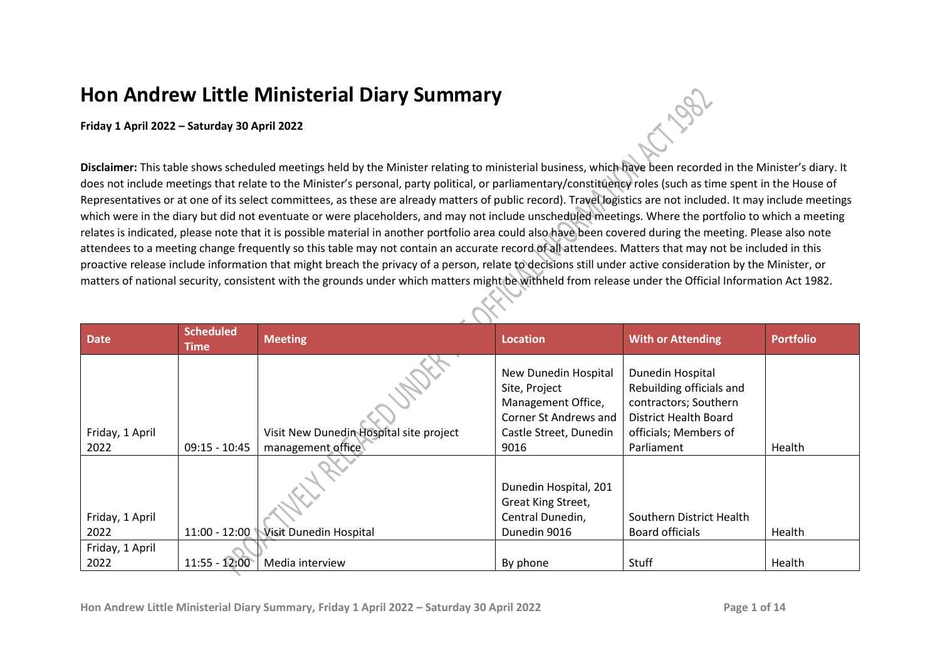## **Hon Andrew Little Ministerial Diary Summary**

## **Friday 1 April 2022 – Saturday 30 April 2022**

**Disclaimer:** This table shows scheduled meetings held by the Minister relating to ministerial business, which have been recorded in the Minister's diary. It does not include meetings that relate to the Minister's personal, party political, or parliamentary/constituency roles (such as time spent in the House of Representatives or at one of its select committees, as these are already matters of public record). Travel logistics are not included. It may include meetings which were in the diary but did not eventuate or were placeholders, and may not include unscheduled meetings. Where the portfolio to which a meeting relates is indicated, please note that it is possible material in another portfolio area could also have been covered during the meeting. Please also note attendees to a meeting change frequently so this table may not contain an accurate record of all attendees. Matters that may not be included in this proactive release include information that might breach the privacy of a person, relate to decisions still under active consideration by the Minister, or matters of national security, consistent with the grounds under which matters might be withheld from release under the Official Information Act 1982.

| <b>Date</b>             | <b>Scheduled</b><br><b>Time</b> | <b>Meeting</b>                          | <b>Location</b>                                                                                                | <b>With or Attending</b>                                                                                                       | <b>Portfolio</b> |
|-------------------------|---------------------------------|-----------------------------------------|----------------------------------------------------------------------------------------------------------------|--------------------------------------------------------------------------------------------------------------------------------|------------------|
| Friday, 1 April         |                                 | Visit New Dunedin Hospital site project | New Dunedin Hospital<br>Site, Project<br>Management Office,<br>Corner St Andrews and<br>Castle Street, Dunedin | Dunedin Hospital<br>Rebuilding officials and<br>contractors; Southern<br><b>District Health Board</b><br>officials; Members of |                  |
| 2022                    | $09:15 - 10:45$                 | management office                       | 9016                                                                                                           | Parliament                                                                                                                     | Health           |
| Friday, 1 April<br>2022 | $11:00 - 12:00$                 | Visit Dunedin Hospital                  | Dunedin Hospital, 201<br>Great King Street,<br>Central Dunedin,<br>Dunedin 9016                                | Southern District Health<br>Board officials                                                                                    | Health           |
| Friday, 1 April<br>2022 | $11:55 - 12:00$                 | Media interview                         | By phone                                                                                                       | <b>Stuff</b>                                                                                                                   | Health           |

 $196$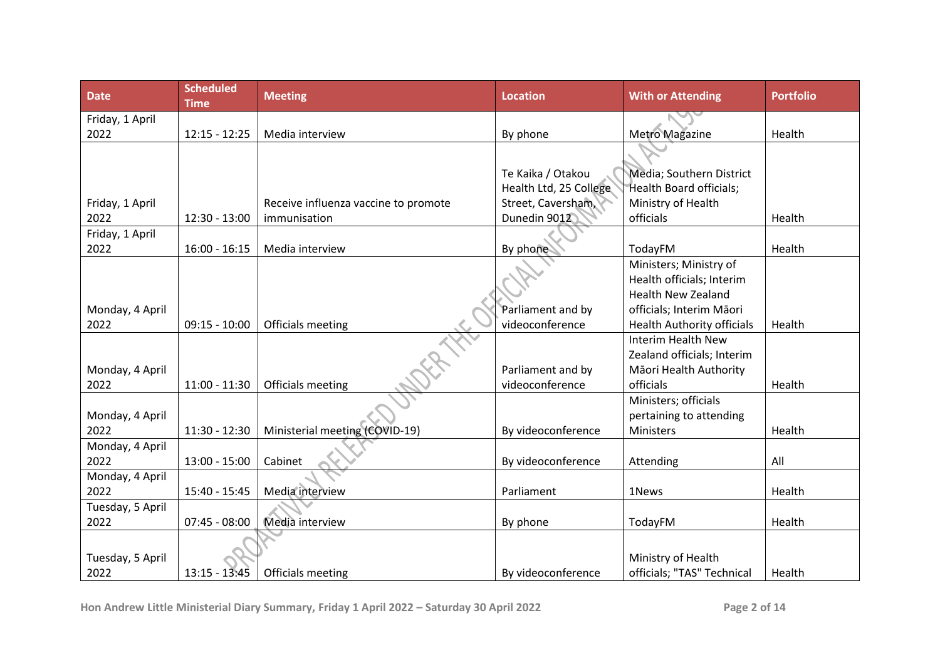| <b>Date</b>      | <b>Scheduled</b><br><b>Time</b> | <b>Meeting</b>                       | <b>Location</b>        | <b>With or Attending</b>          | <b>Portfolio</b> |
|------------------|---------------------------------|--------------------------------------|------------------------|-----------------------------------|------------------|
| Friday, 1 April  |                                 |                                      |                        |                                   |                  |
| 2022             | $12:15 - 12:25$                 | Media interview                      | By phone               | <b>Metro Magazine</b>             | Health           |
|                  |                                 |                                      |                        |                                   |                  |
|                  |                                 |                                      | Te Kaika / Otakou      | Media; Southern District          |                  |
|                  |                                 |                                      | Health Ltd, 25 College | Health Board officials;           |                  |
| Friday, 1 April  |                                 | Receive influenza vaccine to promote | Street, Caversham,     | Ministry of Health                |                  |
| 2022             | $12:30 - 13:00$                 | immunisation                         | Dunedin 9012           | officials                         | Health           |
| Friday, 1 April  |                                 |                                      |                        |                                   |                  |
| 2022             | $16:00 - 16:15$                 | Media interview                      | By phone               | TodayFM                           | Health           |
|                  |                                 |                                      |                        | Ministers; Ministry of            |                  |
|                  |                                 |                                      |                        | Health officials; Interim         |                  |
|                  |                                 |                                      |                        | <b>Health New Zealand</b>         |                  |
| Monday, 4 April  |                                 |                                      | Parliament and by      | officials; Interim Māori          |                  |
| 2022             | $09:15 - 10:00$                 | Officials meeting                    | videoconference        | <b>Health Authority officials</b> | Health           |
|                  |                                 |                                      |                        | Interim Health New                |                  |
|                  |                                 |                                      |                        | Zealand officials; Interim        |                  |
| Monday, 4 April  |                                 |                                      | Parliament and by      | Māori Health Authority            |                  |
| 2022             | $11:00 - 11:30$                 | Officials meeting                    | videoconference        | officials                         | Health           |
|                  |                                 |                                      |                        | Ministers; officials              |                  |
| Monday, 4 April  |                                 |                                      |                        | pertaining to attending           |                  |
| 2022             | $11:30 - 12:30$                 | Ministerial meeting (COVID-19)       | By videoconference     | Ministers                         | Health           |
| Monday, 4 April  |                                 |                                      |                        |                                   |                  |
| 2022             | $13:00 - 15:00$                 | Cabinet                              | By videoconference     | Attending                         | All              |
| Monday, 4 April  |                                 |                                      |                        |                                   |                  |
| 2022             | 15:40 - 15:45                   | Media interview                      | Parliament             | 1News                             | Health           |
| Tuesday, 5 April |                                 |                                      |                        |                                   |                  |
| 2022             | $07:45 - 08:00$                 | Media interview                      | By phone               | TodayFM                           | Health           |
|                  |                                 |                                      |                        |                                   |                  |
| Tuesday, 5 April |                                 |                                      |                        | Ministry of Health                |                  |
| 2022             | 13:15 - 13:45                   | Officials meeting                    | By videoconference     | officials; "TAS" Technical        | Health           |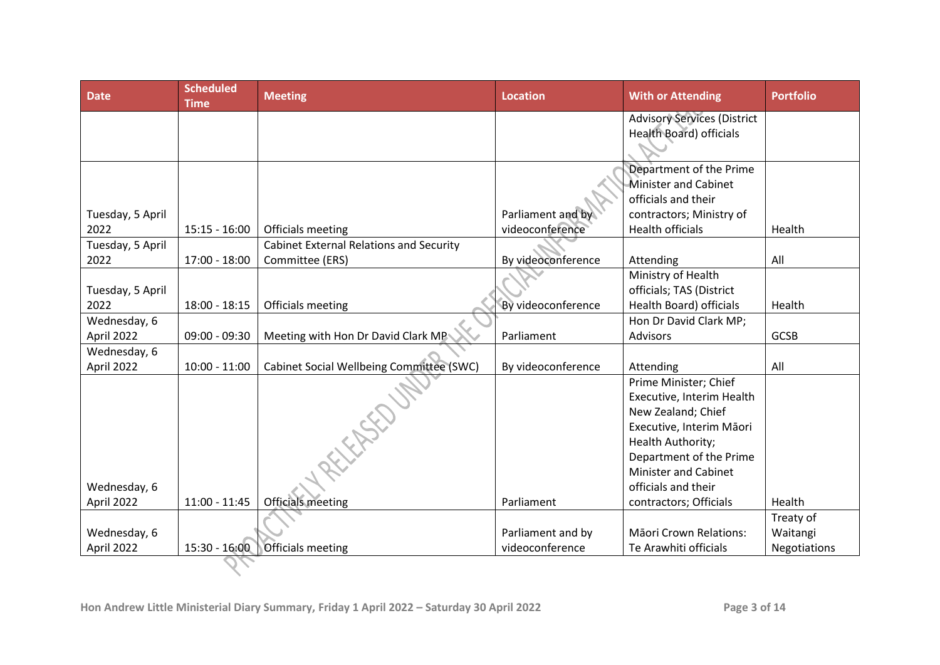| <b>Date</b>      | <b>Scheduled</b><br><b>Time</b> | <b>Meeting</b>                                 | <b>Location</b>    | <b>With or Attending</b>                        | <b>Portfolio</b> |
|------------------|---------------------------------|------------------------------------------------|--------------------|-------------------------------------------------|------------------|
|                  |                                 |                                                |                    | <b>Advisory Services (District</b>              |                  |
|                  |                                 |                                                |                    | <b>Health Board) officials</b>                  |                  |
|                  |                                 |                                                |                    | Department of the Prime                         |                  |
|                  |                                 |                                                |                    | Minister and Cabinet                            |                  |
| Tuesday, 5 April |                                 |                                                | Parliament and by  | officials and their<br>contractors; Ministry of |                  |
| 2022             | 15:15 - 16:00                   | Officials meeting                              | videoconference    | <b>Health officials</b>                         | Health           |
| Tuesday, 5 April |                                 | <b>Cabinet External Relations and Security</b> |                    |                                                 |                  |
| 2022             | $17:00 - 18:00$                 | Committee (ERS)                                | By videoconference | Attending                                       | All              |
|                  |                                 |                                                |                    | Ministry of Health                              |                  |
| Tuesday, 5 April |                                 |                                                |                    | officials; TAS (District                        |                  |
| 2022             | $18:00 - 18:15$                 | Officials meeting                              | By videoconference | Health Board) officials                         | Health           |
| Wednesday, 6     |                                 |                                                |                    | Hon Dr David Clark MP;                          |                  |
| April 2022       | 09:00 - 09:30                   | Meeting with Hon Dr David Clark MP             | Parliament         | Advisors                                        | <b>GCSB</b>      |
| Wednesday, 6     |                                 |                                                |                    |                                                 |                  |
| April 2022       | $10:00 - 11:00$                 | Cabinet Social Wellbeing Committee (SWC)       | By videoconference | Attending                                       | All              |
|                  |                                 | REFERENCE                                      |                    | Prime Minister; Chief                           |                  |
|                  |                                 |                                                |                    | Executive, Interim Health                       |                  |
|                  |                                 |                                                |                    | New Zealand; Chief<br>Executive, Interim Māori  |                  |
|                  |                                 |                                                |                    | Health Authority;                               |                  |
|                  |                                 |                                                |                    | Department of the Prime                         |                  |
|                  |                                 |                                                |                    | <b>Minister and Cabinet</b>                     |                  |
| Wednesday, 6     |                                 |                                                |                    | officials and their                             |                  |
| April 2022       | $11:00 - 11:45$                 | Officials meeting                              | Parliament         | contractors; Officials                          | Health           |
|                  |                                 |                                                |                    |                                                 | Treaty of        |
| Wednesday, 6     |                                 |                                                | Parliament and by  | <b>Māori Crown Relations:</b>                   | Waitangi         |
| April 2022       | 15:30 - 16:00                   | <b>Officials meeting</b>                       | videoconference    | Te Arawhiti officials                           | Negotiations     |
|                  |                                 |                                                |                    |                                                 |                  |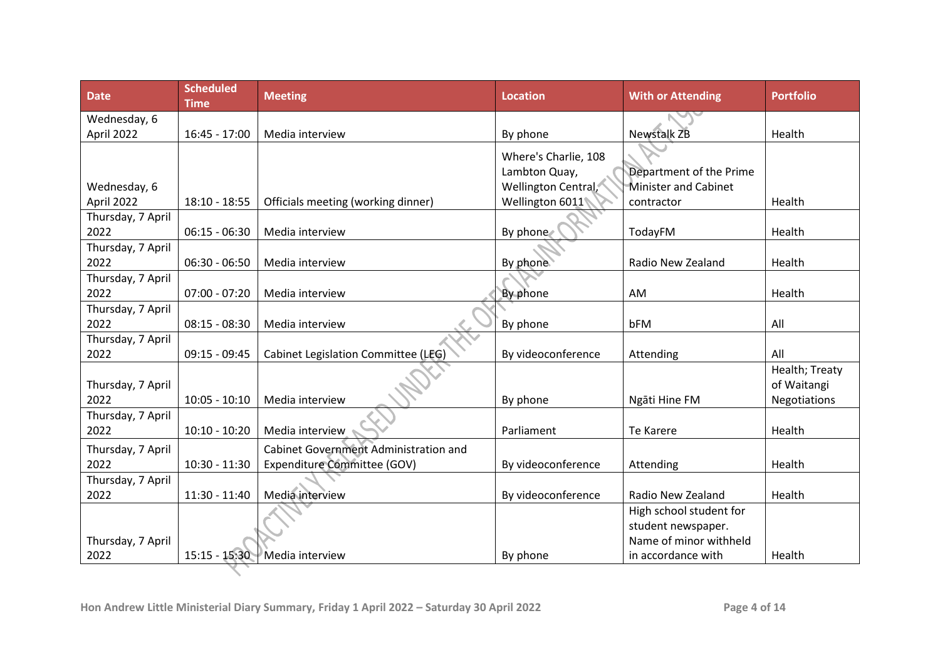| <b>Date</b>       | <b>Scheduled</b><br><b>Time</b> | <b>Meeting</b>                        | <b>Location</b>      | <b>With or Attending</b> | <b>Portfolio</b>    |
|-------------------|---------------------------------|---------------------------------------|----------------------|--------------------------|---------------------|
| Wednesday, 6      |                                 |                                       |                      |                          |                     |
| April 2022        | $16:45 - 17:00$                 | Media interview                       | By phone             | <b>Newstalk ZB</b>       | Health              |
|                   |                                 |                                       | Where's Charlie, 108 |                          |                     |
|                   |                                 |                                       | Lambton Quay,        | Department of the Prime  |                     |
| Wednesday, 6      |                                 |                                       | Wellington Central,  | Minister and Cabinet     |                     |
| April 2022        | $18:10 - 18:55$                 | Officials meeting (working dinner)    | Wellington 6011      | contractor               | Health              |
| Thursday, 7 April |                                 |                                       |                      |                          |                     |
| 2022              | $06:15 - 06:30$                 | Media interview                       | By phone             | TodayFM                  | Health              |
| Thursday, 7 April |                                 |                                       |                      |                          |                     |
| 2022              | $06:30 - 06:50$                 | Media interview                       | By phone             | Radio New Zealand        | Health              |
| Thursday, 7 April |                                 |                                       |                      |                          |                     |
| 2022              | $07:00 - 07:20$                 | Media interview                       | By phone             | AM                       | Health              |
| Thursday, 7 April |                                 |                                       |                      |                          |                     |
| 2022              | $08:15 - 08:30$                 | Media interview                       | By phone             | bFM                      | All                 |
| Thursday, 7 April |                                 |                                       |                      |                          |                     |
| 2022              | $09:15 - 09:45$                 | Cabinet Legislation Committee (LEG)   | By videoconference   | Attending                | All                 |
|                   |                                 |                                       |                      |                          | Health; Treaty      |
| Thursday, 7 April |                                 |                                       |                      |                          | of Waitangi         |
| 2022              | $10:05 - 10:10$                 | Media interview                       | By phone             | Ngāti Hine FM            | <b>Negotiations</b> |
| Thursday, 7 April |                                 |                                       |                      |                          |                     |
| 2022              | $10:10 - 10:20$                 | Media interview                       | Parliament           | Te Karere                | Health              |
| Thursday, 7 April |                                 | Cabinet Government Administration and |                      |                          |                     |
| 2022              | $10:30 - 11:30$                 | Expenditure Committee (GOV)           | By videoconference   | Attending                | Health              |
| Thursday, 7 April |                                 |                                       |                      |                          |                     |
| 2022              | $11:30 - 11:40$                 | Media interview                       | By videoconference   | Radio New Zealand        | Health              |
|                   |                                 |                                       |                      | High school student for  |                     |
|                   |                                 |                                       |                      | student newspaper.       |                     |
| Thursday, 7 April |                                 |                                       |                      | Name of minor withheld   |                     |
| 2022              | $15:15 - 15:30$                 | Media interview                       | By phone             | in accordance with       | Health              |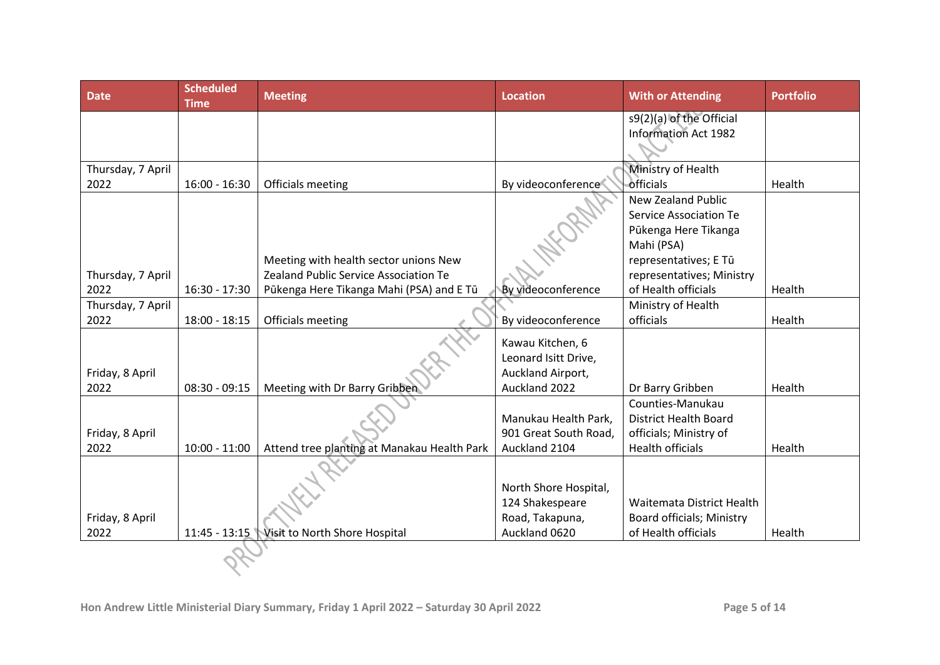| <b>Date</b>       | <b>Scheduled</b><br><b>Time</b> | <b>Meeting</b>                              | <b>Location</b>       | <b>With or Attending</b>         | <b>Portfolio</b> |
|-------------------|---------------------------------|---------------------------------------------|-----------------------|----------------------------------|------------------|
|                   |                                 |                                             |                       | s9(2)(a) of the Official         |                  |
|                   |                                 |                                             |                       | Information Act 1982             |                  |
|                   |                                 |                                             |                       |                                  |                  |
| Thursday, 7 April |                                 |                                             |                       | Ministry of Health               |                  |
| 2022              | $16:00 - 16:30$                 | Officials meeting                           | By videoconference    | <b>officials</b>                 | Health           |
|                   |                                 |                                             |                       | <b>New Zealand Public</b>        |                  |
|                   |                                 |                                             |                       | <b>Service Association Te</b>    |                  |
|                   |                                 |                                             |                       | Pūkenga Here Tikanga             |                  |
|                   |                                 |                                             |                       | Mahi (PSA)                       |                  |
|                   |                                 | Meeting with health sector unions New       |                       | representatives; E Tū            |                  |
| Thursday, 7 April |                                 | Zealand Public Service Association Te       |                       | representatives; Ministry        |                  |
| 2022              | $16:30 - 17:30$                 | Pūkenga Here Tikanga Mahi (PSA) and E Tū    | By videoconference    | of Health officials              | Health           |
| Thursday, 7 April |                                 |                                             |                       | Ministry of Health               |                  |
| 2022              | $18:00 - 18:15$                 | Officials meeting                           | By videoconference    | officials                        | Health           |
|                   |                                 |                                             | Kawau Kitchen, 6      |                                  |                  |
|                   |                                 |                                             | Leonard Isitt Drive,  |                                  |                  |
| Friday, 8 April   |                                 |                                             | Auckland Airport,     |                                  |                  |
| 2022              | $08:30 - 09:15$                 | Meeting with Dr Barry Gribben               | Auckland 2022         | Dr Barry Gribben                 | Health           |
|                   |                                 |                                             |                       | Counties-Manukau                 |                  |
|                   |                                 |                                             | Manukau Health Park,  | <b>District Health Board</b>     |                  |
| Friday, 8 April   |                                 |                                             | 901 Great South Road, | officials; Ministry of           |                  |
| 2022              | $10:00 - 11:00$                 | Attend tree planting at Manakau Health Park | Auckland 2104         | <b>Health officials</b>          | Health           |
|                   |                                 |                                             |                       |                                  |                  |
|                   |                                 |                                             | North Shore Hospital, |                                  |                  |
|                   |                                 |                                             | 124 Shakespeare       | Waitemata District Health        |                  |
| Friday, 8 April   |                                 |                                             | Road, Takapuna,       | <b>Board officials; Ministry</b> |                  |
| 2022              | $11:45 - 13:15$                 | Visit to North Shore Hospital               | Auckland 0620         | of Health officials              | Health           |
|                   |                                 |                                             |                       |                                  |                  |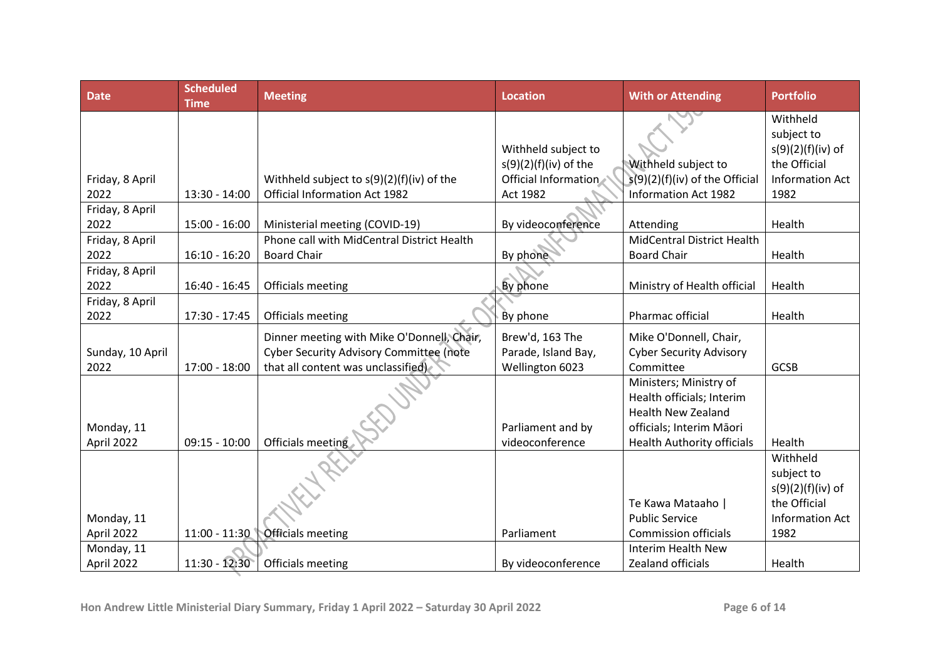| <b>Date</b>              | <b>Scheduled</b><br><b>Time</b> | <b>Meeting</b>                                 | <b>Location</b>         | <b>With or Attending</b>                   | <b>Portfolio</b>                       |
|--------------------------|---------------------------------|------------------------------------------------|-------------------------|--------------------------------------------|----------------------------------------|
|                          |                                 |                                                |                         |                                            | Withheld                               |
|                          |                                 |                                                |                         |                                            | subject to                             |
|                          |                                 |                                                | Withheld subject to     |                                            | $s(9)(2)(f)(iv)$ of                    |
|                          |                                 |                                                | $s(9)(2)(f)(iv)$ of the | Withheld subject to                        | the Official                           |
| Friday, 8 April          |                                 | Withheld subject to $s(9)(2)(f)(iv)$ of the    | Official Information    | s(9)(2)(f)(iv) of the Official             | <b>Information Act</b>                 |
| 2022                     | 13:30 - 14:00                   | Official Information Act 1982                  | Act 1982                | <b>Information Act 1982</b>                | 1982                                   |
| Friday, 8 April<br>2022  | $15:00 - 16:00$                 | Ministerial meeting (COVID-19)                 | By videoconference      | Attending                                  | Health                                 |
| Friday, 8 April          |                                 | Phone call with MidCentral District Health     |                         | <b>MidCentral District Health</b>          |                                        |
| 2022                     | $16:10 - 16:20$                 | <b>Board Chair</b>                             | By phone                | <b>Board Chair</b>                         | Health                                 |
| Friday, 8 April          |                                 |                                                |                         |                                            |                                        |
| 2022                     | $16:40 - 16:45$                 | Officials meeting                              | By phone                | Ministry of Health official                | Health                                 |
| Friday, 8 April          |                                 |                                                |                         |                                            |                                        |
| 2022                     | 17:30 - 17:45                   | Officials meeting                              | By phone                | Pharmac official                           | Health                                 |
|                          |                                 | Dinner meeting with Mike O'Donnell, Chair,     | Brew'd, 163 The         | Mike O'Donnell, Chair,                     |                                        |
| Sunday, 10 April         |                                 | <b>Cyber Security Advisory Committee (note</b> | Parade, Island Bay,     | <b>Cyber Security Advisory</b>             |                                        |
| 2022                     | $17:00 - 18:00$                 | that all content was unclassified)             | Wellington 6023         | Committee                                  | GCSB                                   |
|                          |                                 |                                                |                         | Ministers; Ministry of                     |                                        |
|                          |                                 |                                                |                         | Health officials; Interim                  |                                        |
|                          |                                 |                                                |                         | <b>Health New Zealand</b>                  |                                        |
| Monday, 11               |                                 |                                                | Parliament and by       | officials; Interim Māori                   |                                        |
| April 2022               | $09:15 - 10:00$                 | Officials meeting                              | videoconference         | <b>Health Authority officials</b>          | Health                                 |
|                          |                                 |                                                |                         |                                            | Withheld                               |
|                          |                                 |                                                |                         |                                            | subject to                             |
|                          |                                 |                                                |                         |                                            | $s(9)(2)(f)(iv)$ of                    |
|                          |                                 |                                                |                         | Te Kawa Mataaho  <br><b>Public Service</b> | the Official<br><b>Information Act</b> |
| Monday, 11<br>April 2022 | $11:00 - 11:30$                 | <b>Officials meeting</b>                       | Parliament              | <b>Commission officials</b>                | 1982                                   |
| Monday, 11               |                                 |                                                |                         | Interim Health New                         |                                        |
| April 2022               | $11:30 - 12:30$                 | Officials meeting                              | By videoconference      | Zealand officials                          | Health                                 |
|                          |                                 |                                                |                         |                                            |                                        |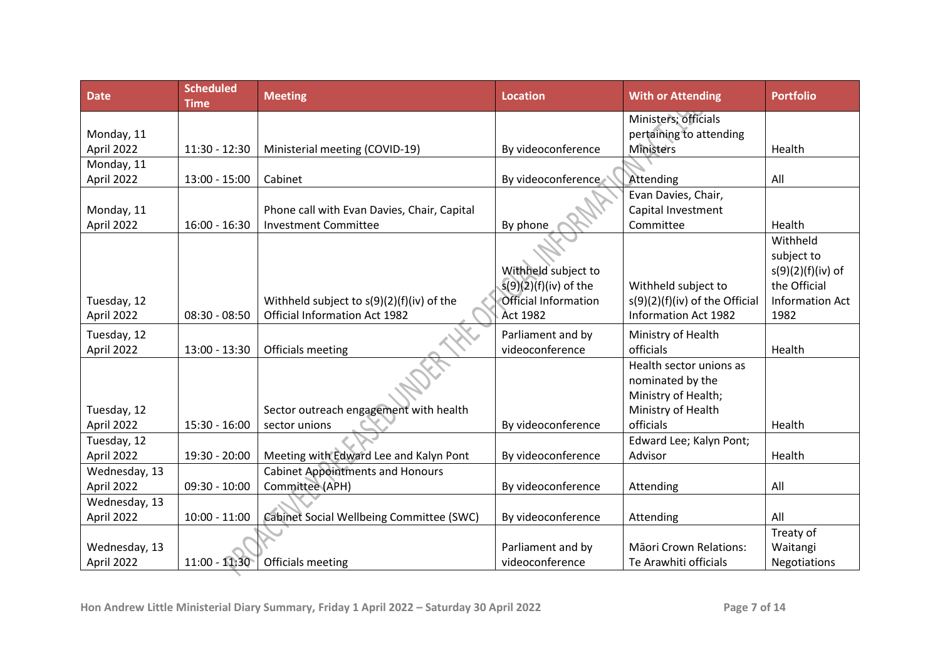| <b>Date</b>   | <b>Scheduled</b><br><b>Time</b> | <b>Meeting</b>                              | <b>Location</b>             | <b>With or Attending</b>       | <b>Portfolio</b>       |
|---------------|---------------------------------|---------------------------------------------|-----------------------------|--------------------------------|------------------------|
|               |                                 |                                             |                             | Ministers; officials           |                        |
| Monday, 11    |                                 |                                             |                             | pertaining to attending        |                        |
| April 2022    | $11:30 - 12:30$                 | Ministerial meeting (COVID-19)              | By videoconference          | Ministers                      | Health                 |
| Monday, 11    |                                 |                                             |                             |                                |                        |
| April 2022    | $13:00 - 15:00$                 | Cabinet                                     | By videoconference          | Attending                      | All                    |
|               |                                 |                                             |                             | Evan Davies, Chair,            |                        |
| Monday, 11    |                                 | Phone call with Evan Davies, Chair, Capital |                             | Capital Investment             |                        |
| April 2022    | $16:00 - 16:30$                 | <b>Investment Committee</b>                 | By phone                    | Committee                      | Health                 |
|               |                                 |                                             |                             |                                | Withheld               |
|               |                                 |                                             |                             |                                | subject to             |
|               |                                 |                                             | Withheld subject to         |                                | $s(9)(2)(f)(iv)$ of    |
|               |                                 |                                             | $s(9)(2)(f)(iv)$ of the     | Withheld subject to            | the Official           |
| Tuesday, 12   |                                 | Withheld subject to $s(9)(2)(f)(iv)$ of the | <b>Official Information</b> | s(9)(2)(f)(iv) of the Official | <b>Information Act</b> |
| April 2022    | $08:30 - 08:50$                 | <b>Official Information Act 1982</b>        | <b>Act 1982</b>             | <b>Information Act 1982</b>    | 1982                   |
| Tuesday, 12   |                                 |                                             | Parliament and by           | Ministry of Health             |                        |
| April 2022    | $13:00 - 13:30$                 | Officials meeting                           | videoconference             | officials                      | Health                 |
|               |                                 |                                             |                             | Health sector unions as        |                        |
|               |                                 |                                             |                             | nominated by the               |                        |
|               |                                 |                                             |                             | Ministry of Health;            |                        |
| Tuesday, 12   |                                 | Sector outreach engagement with health      |                             | Ministry of Health             |                        |
| April 2022    | $15:30 - 16:00$                 | sector unions                               | By videoconference          | officials                      | Health                 |
| Tuesday, 12   |                                 |                                             |                             | Edward Lee; Kalyn Pont;        |                        |
| April 2022    | 19:30 - 20:00                   | Meeting with Edward Lee and Kalyn Pont      | By videoconference          | Advisor                        | Health                 |
| Wednesday, 13 |                                 | <b>Cabinet Appointments and Honours</b>     |                             |                                |                        |
| April 2022    | $09:30 - 10:00$                 | Committee (APH)                             | By videoconference          | Attending                      | All                    |
| Wednesday, 13 |                                 |                                             |                             |                                |                        |
| April 2022    | $10:00 - 11:00$                 | Cabinet Social Wellbeing Committee (SWC)    | By videoconference          | Attending                      | All                    |
|               |                                 |                                             |                             |                                | Treaty of              |
| Wednesday, 13 |                                 |                                             | Parliament and by           | <b>Māori Crown Relations:</b>  | Waitangi               |
| April 2022    | $11:00 - 11:30$                 | Officials meeting                           | videoconference             | Te Arawhiti officials          | Negotiations           |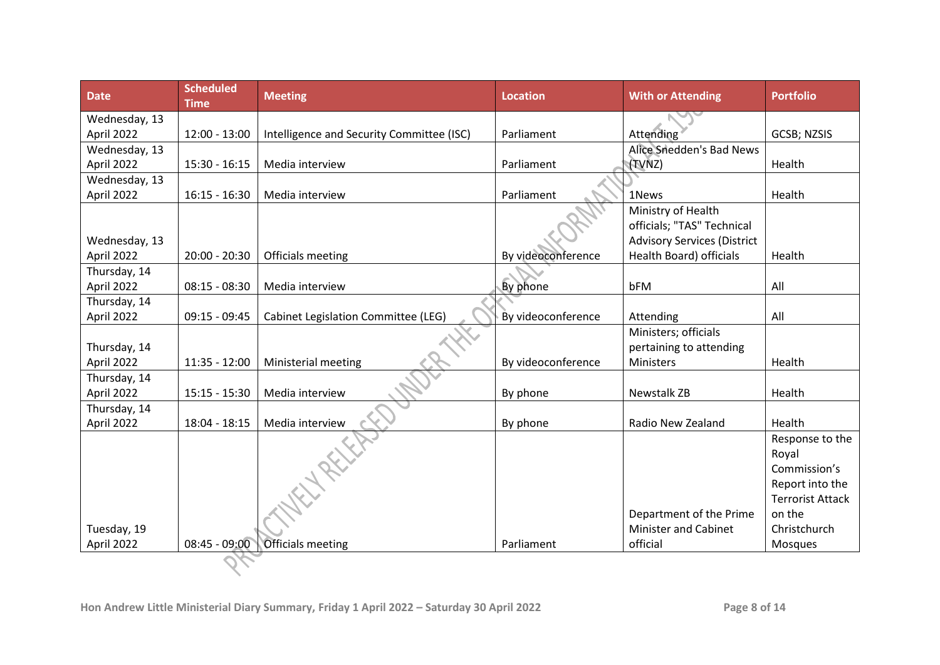| <b>Date</b>                | <b>Scheduled</b><br><b>Time</b> | <b>Meeting</b>                            | <b>Location</b>    | <b>With or Attending</b>                                             | <b>Portfolio</b>        |
|----------------------------|---------------------------------|-------------------------------------------|--------------------|----------------------------------------------------------------------|-------------------------|
| Wednesday, 13              |                                 |                                           |                    |                                                                      |                         |
| April 2022                 | $12:00 - 13:00$                 | Intelligence and Security Committee (ISC) | Parliament         | Attending                                                            | GCSB; NZSIS             |
| Wednesday, 13              |                                 |                                           |                    | Alice Snedden's Bad News                                             |                         |
| April 2022                 | $15:30 - 16:15$                 | Media interview                           | Parliament         | (TVNZ)                                                               | Health                  |
| Wednesday, 13              |                                 |                                           |                    |                                                                      |                         |
| April 2022                 | $16:15 - 16:30$                 | Media interview                           | Parliament         | 1News                                                                | Health                  |
|                            |                                 |                                           |                    | Ministry of Health<br>officials; "TAS" Technical                     |                         |
| Wednesday, 13              | $20:00 - 20:30$                 |                                           |                    | <b>Advisory Services (District</b><br><b>Health Board) officials</b> | Health                  |
| April 2022                 |                                 | Officials meeting                         | By videoconference |                                                                      |                         |
| Thursday, 14<br>April 2022 | $08:15 - 08:30$                 | Media interview                           | By phone           | bFM                                                                  | All                     |
| Thursday, 14               |                                 |                                           |                    |                                                                      |                         |
| April 2022                 | $09:15 - 09:45$                 | Cabinet Legislation Committee (LEG)       | By videoconference | Attending                                                            | All                     |
|                            |                                 |                                           |                    | Ministers; officials                                                 |                         |
| Thursday, 14               |                                 |                                           |                    | pertaining to attending                                              |                         |
| April 2022                 | $11:35 - 12:00$                 | Ministerial meeting                       | By videoconference | <b>Ministers</b>                                                     | Health                  |
| Thursday, 14               |                                 |                                           |                    |                                                                      |                         |
| April 2022                 | $15:15 - 15:30$                 | Media interview                           | By phone           | <b>Newstalk ZB</b>                                                   | Health                  |
| Thursday, 14<br>April 2022 | $18:04 - 18:15$                 | Media interview                           | By phone           | Radio New Zealand                                                    | Health                  |
|                            |                                 |                                           |                    |                                                                      | Response to the         |
|                            |                                 | 长大大会                                      |                    |                                                                      | Royal                   |
|                            |                                 |                                           |                    |                                                                      | Commission's            |
|                            |                                 |                                           |                    |                                                                      | Report into the         |
|                            |                                 |                                           |                    |                                                                      | <b>Terrorist Attack</b> |
|                            |                                 |                                           |                    | Department of the Prime                                              | on the                  |
| Tuesday, 19                |                                 |                                           |                    | <b>Minister and Cabinet</b>                                          | Christchurch            |
| April 2022                 | $08:45 - 09:00$                 | <b>Officials meeting</b>                  | Parliament         | official                                                             | Mosques                 |
|                            |                                 |                                           |                    |                                                                      |                         |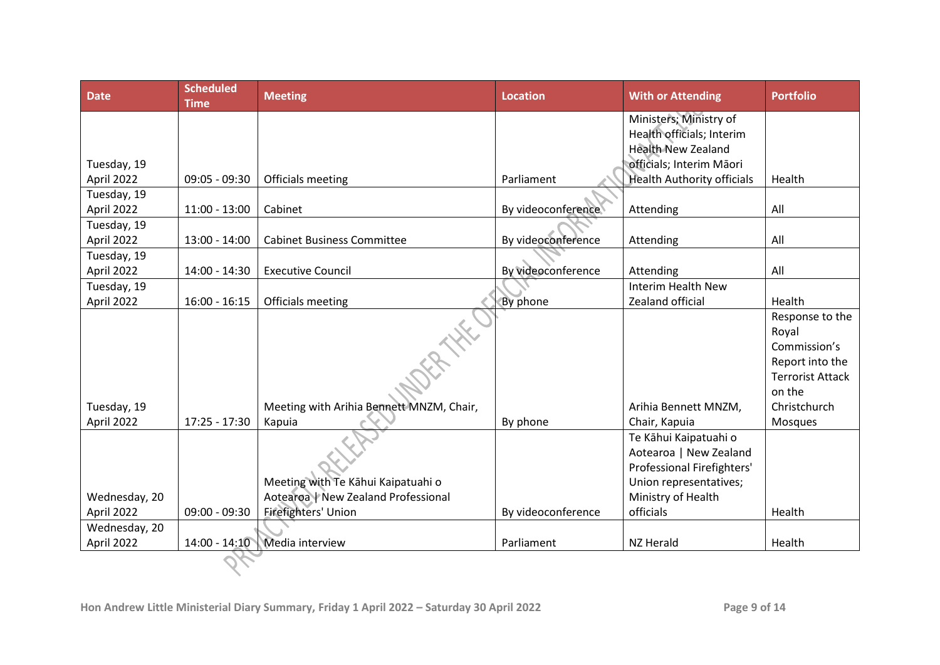| <b>Date</b>               | <b>Scheduled</b><br><b>Time</b> | <b>Meeting</b>                                     | <b>Location</b>    | <b>With or Attending</b>                               | <b>Portfolio</b>               |
|---------------------------|---------------------------------|----------------------------------------------------|--------------------|--------------------------------------------------------|--------------------------------|
|                           |                                 |                                                    |                    | Ministers; Ministry of                                 |                                |
|                           |                                 |                                                    |                    | Health officials; Interim<br><b>Health New Zealand</b> |                                |
| Tuesday, 19               |                                 |                                                    |                    | officials; Interim Māori                               |                                |
| April 2022                | $09:05 - 09:30$                 | Officials meeting                                  | Parliament         | <b>Health Authority officials</b>                      | Health                         |
| Tuesday, 19               |                                 |                                                    |                    |                                                        |                                |
| April 2022                | $11:00 - 13:00$                 | Cabinet                                            | By videoconference | Attending                                              | All                            |
| Tuesday, 19               |                                 |                                                    |                    |                                                        |                                |
| April 2022                | $13:00 - 14:00$                 | <b>Cabinet Business Committee</b>                  | By videoconference | Attending                                              | All                            |
| Tuesday, 19               |                                 |                                                    |                    |                                                        | All                            |
| April 2022<br>Tuesday, 19 | 14:00 - 14:30                   | <b>Executive Council</b>                           | By videoconference | Attending<br>Interim Health New                        |                                |
| April 2022                | $16:00 - 16:15$                 | Officials meeting                                  | By phone           | Zealand official                                       | Health                         |
|                           |                                 |                                                    |                    |                                                        | Response to the                |
|                           |                                 |                                                    |                    |                                                        | Royal                          |
|                           |                                 |                                                    |                    |                                                        | Commission's                   |
|                           |                                 | <b>DERTHEL</b>                                     |                    |                                                        | Report into the                |
|                           |                                 |                                                    |                    |                                                        | <b>Terrorist Attack</b>        |
|                           |                                 |                                                    |                    |                                                        | on the                         |
| Tuesday, 19<br>April 2022 | $17:25 - 17:30$                 | Meeting with Arihia Bennett MNZM, Chair,<br>Kapuia | By phone           | Arihia Bennett MNZM,<br>Chair, Kapuia                  | Christchurch<br><b>Mosques</b> |
|                           |                                 |                                                    |                    | Te Kāhui Kaipatuahi o                                  |                                |
|                           |                                 |                                                    |                    | Aotearoa   New Zealand                                 |                                |
|                           |                                 |                                                    |                    | Professional Firefighters'                             |                                |
|                           |                                 | Meeting with Te Kahui Kaipatuahi o                 |                    | Union representatives;                                 |                                |
| Wednesday, 20             |                                 | Aotearoa   New Zealand Professional                |                    | Ministry of Health                                     |                                |
| April 2022                | $09:00 - 09:30$                 | Firefighters' Union                                | By videoconference | officials                                              | Health                         |
| Wednesday, 20             |                                 |                                                    |                    |                                                        |                                |
| April 2022                | $14:00 - 14:10$                 | Media interview                                    | Parliament         | <b>NZ Herald</b>                                       | Health                         |
|                           |                                 |                                                    |                    |                                                        |                                |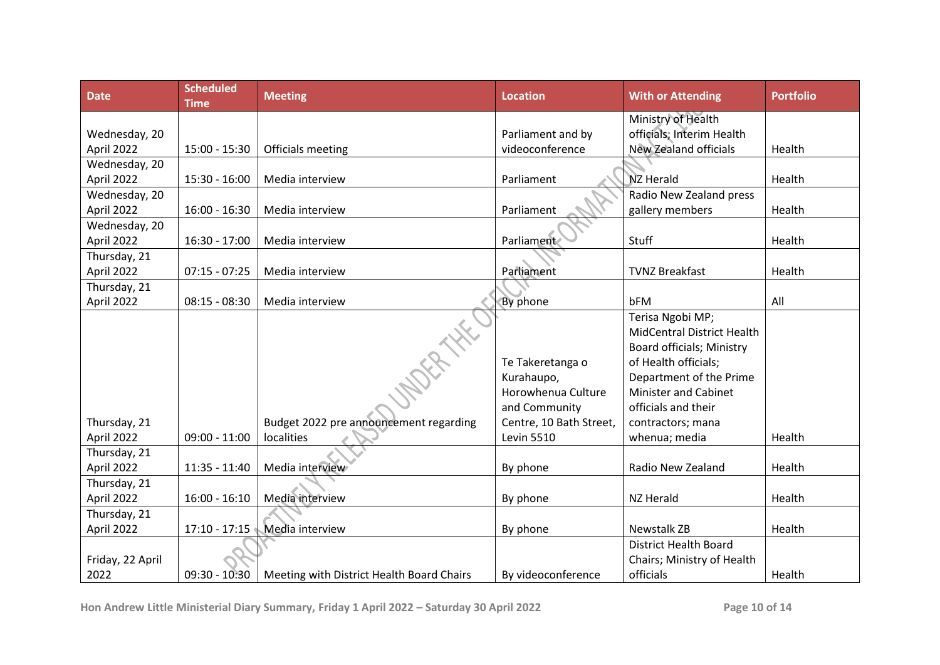| <b>Date</b>                | <b>Scheduled</b><br><b>Time</b> | <b>Meeting</b>                            | <b>Location</b>         | <b>With or Attending</b>          | <b>Portfolio</b> |
|----------------------------|---------------------------------|-------------------------------------------|-------------------------|-----------------------------------|------------------|
|                            |                                 |                                           |                         | Ministry of Health                |                  |
| Wednesday, 20              |                                 |                                           | Parliament and by       | officials; Interim Health         |                  |
| April 2022                 | $15:00 - 15:30$                 | Officials meeting                         | videoconference         | <b>New Zealand officials</b>      | Health           |
| Wednesday, 20              |                                 |                                           |                         |                                   |                  |
| April 2022                 | $15:30 - 16:00$                 | Media interview                           | Parliament              | <b>NZ</b> Herald                  | Health           |
| Wednesday, 20              |                                 |                                           |                         | Radio New Zealand press           |                  |
| April 2022                 | $16:00 - 16:30$                 | Media interview                           | Parliament              | gallery members                   | Health           |
| Wednesday, 20              |                                 |                                           |                         |                                   |                  |
| April 2022                 | $16:30 - 17:00$                 | Media interview                           | Parliament              | Stuff                             | Health           |
| Thursday, 21               |                                 |                                           |                         |                                   |                  |
| April 2022                 | $07:15 - 07:25$                 | Media interview                           | Parliament              | <b>TVNZ Breakfast</b>             | Health           |
| Thursday, 21               |                                 |                                           |                         |                                   |                  |
| April 2022                 | $08:15 - 08:30$                 | Media interview                           | By phone                | bFM                               | All              |
|                            |                                 | <b>INDER THE</b>                          |                         | Terisa Ngobi MP;                  |                  |
|                            |                                 |                                           |                         | <b>MidCentral District Health</b> |                  |
|                            |                                 |                                           |                         | Board officials; Ministry         |                  |
|                            |                                 |                                           | Te Takeretanga o        | of Health officials;              |                  |
|                            |                                 |                                           | Kurahaupo,              | Department of the Prime           |                  |
|                            |                                 |                                           | Horowhenua Culture      | <b>Minister and Cabinet</b>       |                  |
|                            |                                 |                                           | and Community           | officials and their               |                  |
| Thursday, 21               |                                 | Budget 2022 pre announcement regarding    | Centre, 10 Bath Street, | contractors; mana                 |                  |
| April 2022                 | $09:00 - 11:00$                 | localities                                | <b>Levin 5510</b>       | whenua; media                     | Health           |
| Thursday, 21<br>April 2022 | $11:35 - 11:40$                 | Media interview                           |                         | Radio New Zealand                 | Health           |
|                            |                                 |                                           | By phone                |                                   |                  |
| Thursday, 21<br>April 2022 | $16:00 - 16:10$                 | Media interview                           |                         | NZ Herald                         | Health           |
| Thursday, 21               |                                 |                                           | By phone                |                                   |                  |
| April 2022                 | $17:10 - 17:15$                 | Media interview                           | By phone                | <b>Newstalk ZB</b>                | Health           |
|                            |                                 |                                           |                         | <b>District Health Board</b>      |                  |
| Friday, 22 April           |                                 |                                           |                         | Chairs; Ministry of Health        |                  |
| 2022                       | $09:30 - 10:30$                 | Meeting with District Health Board Chairs | By videoconference      | officials                         | Health           |

**Hon Andrew Little Ministerial Diary Summary, Friday 1 April 2022 – Saturday 30 April 2022 Page 10 of 14**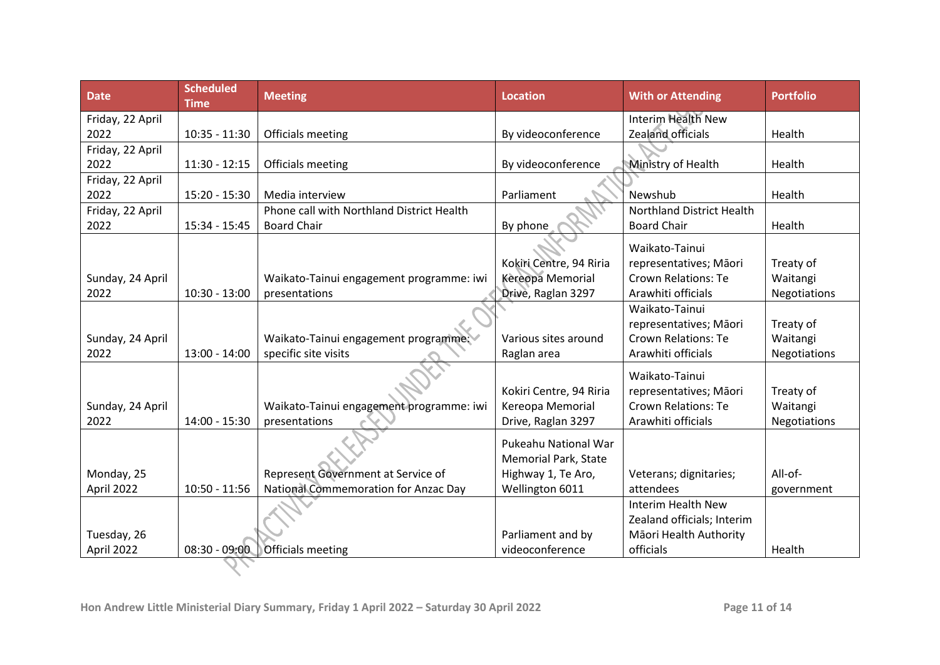| <b>Date</b>      | <b>Scheduled</b><br><b>Time</b> | <b>Meeting</b>                              | <b>Location</b>         | <b>With or Attending</b>         | <b>Portfolio</b>    |
|------------------|---------------------------------|---------------------------------------------|-------------------------|----------------------------------|---------------------|
| Friday, 22 April |                                 |                                             |                         | <b>Interim Health New</b>        |                     |
| 2022             | $10:35 - 11:30$                 | Officials meeting                           | By videoconference      | Zealand officials                | Health              |
| Friday, 22 April |                                 |                                             |                         |                                  |                     |
| 2022             | $11:30 - 12:15$                 | Officials meeting                           | By videoconference      | Ministry of Health               | Health              |
| Friday, 22 April |                                 |                                             |                         |                                  |                     |
| 2022             | 15:20 - 15:30                   | Media interview                             | Parliament              | Newshub                          | Health              |
| Friday, 22 April |                                 | Phone call with Northland District Health   |                         | <b>Northland District Health</b> |                     |
| 2022             | 15:34 - 15:45                   | <b>Board Chair</b>                          | By phone                | <b>Board Chair</b>               | Health              |
|                  |                                 |                                             |                         | Waikato-Tainui                   |                     |
|                  |                                 |                                             | Kokiri Centre, 94 Riria | representatives; Māori           | Treaty of           |
| Sunday, 24 April |                                 | Waikato-Tainui engagement programme: iwi    | Kereopa Memorial        | <b>Crown Relations: Te</b>       | Waitangi            |
| 2022             | $10:30 - 13:00$                 | presentations                               | Drive, Raglan 3297      | Arawhiti officials               | <b>Negotiations</b> |
|                  |                                 |                                             |                         | Waikato-Tainui                   |                     |
|                  |                                 |                                             |                         | representatives; Māori           | Treaty of           |
| Sunday, 24 April |                                 | Waikato-Tainui engagement programme:        | Various sites around    | <b>Crown Relations: Te</b>       | Waitangi            |
| 2022             | $13:00 - 14:00$                 | specific site visits                        | Raglan area             | Arawhiti officials               | <b>Negotiations</b> |
|                  |                                 |                                             |                         | Waikato-Tainui                   |                     |
|                  |                                 |                                             | Kokiri Centre, 94 Riria | representatives; Māori           | Treaty of           |
| Sunday, 24 April |                                 | Waikato-Tainui engagement programme: iwi    | Kereopa Memorial        | <b>Crown Relations: Te</b>       | Waitangi            |
| 2022             | $14:00 - 15:30$                 | presentations                               | Drive, Raglan 3297      | Arawhiti officials               | <b>Negotiations</b> |
|                  |                                 |                                             | Pukeahu National War    |                                  |                     |
|                  |                                 |                                             | Memorial Park, State    |                                  |                     |
| Monday, 25       |                                 | Represent Government at Service of          | Highway 1, Te Aro,      | Veterans; dignitaries;           | All-of-             |
| April 2022       | $10:50 - 11:56$                 | <b>National Commemoration for Anzac Day</b> | Wellington 6011         | attendees                        | government          |
|                  |                                 |                                             |                         | Interim Health New               |                     |
|                  |                                 |                                             |                         | Zealand officials; Interim       |                     |
| Tuesday, 26      |                                 |                                             | Parliament and by       | Māori Health Authority           |                     |
| April 2022       | $08:30 - 09:00$                 | Officials meeting                           | videoconference         | officials                        | Health              |
|                  |                                 |                                             |                         |                                  |                     |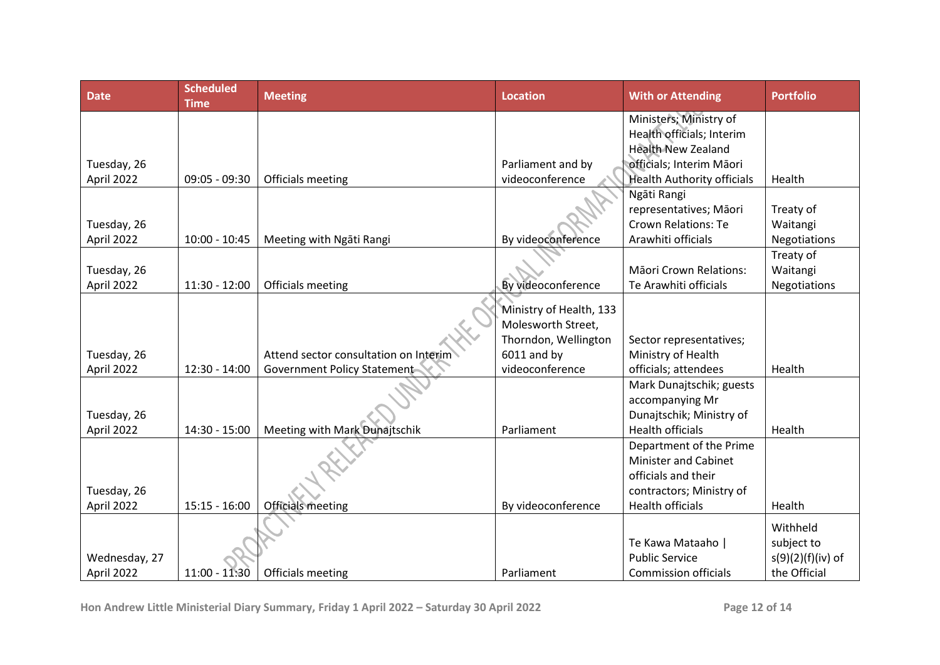| <b>Date</b>   | <b>Scheduled</b><br><b>Time</b> | <b>Meeting</b>                        | <b>Location</b>         | <b>With or Attending</b>          | <b>Portfolio</b>    |
|---------------|---------------------------------|---------------------------------------|-------------------------|-----------------------------------|---------------------|
|               |                                 |                                       |                         | Ministers; Ministry of            |                     |
|               |                                 |                                       |                         | Health officials; Interim         |                     |
|               |                                 |                                       |                         | <b>Health New Zealand</b>         |                     |
| Tuesday, 26   |                                 |                                       | Parliament and by       | officials; Interim Māori          |                     |
| April 2022    | $09:05 - 09:30$                 | Officials meeting                     | videoconference         | <b>Health Authority officials</b> | Health              |
|               |                                 |                                       |                         | Ngāti Rangi                       |                     |
|               |                                 |                                       |                         | representatives; Māori            | Treaty of           |
| Tuesday, 26   |                                 |                                       |                         | <b>Crown Relations: Te</b>        | Waitangi            |
| April 2022    | $10:00 - 10:45$                 | Meeting with Ngati Rangi              | By videoconference      | Arawhiti officials                | Negotiations        |
|               |                                 |                                       |                         |                                   | Treaty of           |
| Tuesday, 26   |                                 |                                       |                         | <b>Māori Crown Relations:</b>     | Waitangi            |
| April 2022    | $11:30 - 12:00$                 | Officials meeting                     | By videoconference      | Te Arawhiti officials             | Negotiations        |
|               |                                 |                                       | Ministry of Health, 133 |                                   |                     |
|               |                                 |                                       | Molesworth Street,      |                                   |                     |
|               |                                 |                                       | Thorndon, Wellington    | Sector representatives;           |                     |
| Tuesday, 26   |                                 | Attend sector consultation on Interim | 6011 and by             | Ministry of Health                |                     |
| April 2022    | $12:30 - 14:00$                 | Government Policy Statement           | videoconference         | officials; attendees              | Health              |
|               |                                 |                                       |                         | Mark Dunajtschik; guests          |                     |
|               |                                 |                                       |                         | accompanying Mr                   |                     |
| Tuesday, 26   |                                 |                                       |                         | Dunajtschik; Ministry of          |                     |
| April 2022    | $14:30 - 15:00$                 | Meeting with Mark Dunajtschik         | Parliament              | <b>Health officials</b>           | Health              |
|               |                                 |                                       |                         | Department of the Prime           |                     |
|               |                                 |                                       |                         | <b>Minister and Cabinet</b>       |                     |
|               |                                 |                                       |                         | officials and their               |                     |
| Tuesday, 26   |                                 |                                       |                         | contractors; Ministry of          |                     |
| April 2022    | $15:15 - 16:00$                 | Officials meeting                     | By videoconference      | <b>Health officials</b>           | Health              |
|               |                                 |                                       |                         |                                   |                     |
|               |                                 |                                       |                         |                                   | Withheld            |
|               |                                 |                                       |                         | Te Kawa Mataaho                   | subject to          |
| Wednesday, 27 |                                 |                                       |                         | <b>Public Service</b>             | $s(9)(2)(f)(iv)$ of |
| April 2022    | 11:00 - 11:30                   | Officials meeting                     | Parliament              | <b>Commission officials</b>       | the Official        |

**Hon Andrew Little Ministerial Diary Summary, Friday 1 April 2022 – Saturday 30 April 2022 Page 12 of 14**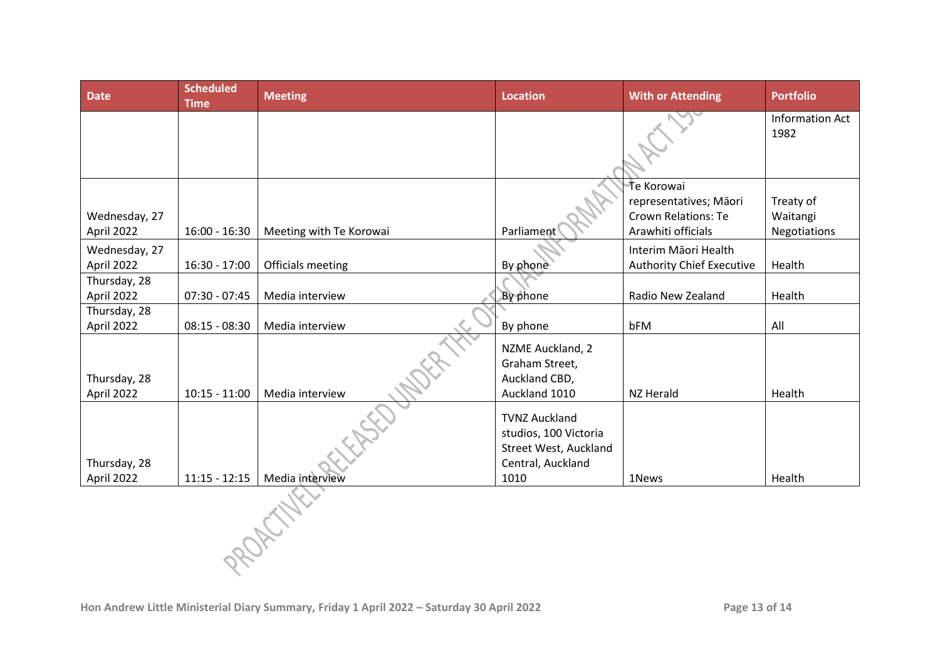| <b>Date</b>   | <b>Scheduled</b><br><b>Time</b> | <b>Meeting</b>           | <b>Location</b>       | <b>With or Attending</b>         | <b>Portfolio</b>               |
|---------------|---------------------------------|--------------------------|-----------------------|----------------------------------|--------------------------------|
|               |                                 |                          |                       |                                  | <b>Information Act</b><br>1982 |
|               |                                 |                          |                       |                                  |                                |
|               |                                 |                          |                       |                                  |                                |
|               |                                 |                          |                       | Te Korowai                       |                                |
|               |                                 |                          |                       | representatives; Māori           | Treaty of                      |
| Wednesday, 27 |                                 |                          |                       | <b>Crown Relations: Te</b>       | Waitangi                       |
| April 2022    | $16:00 - 16:30$                 | Meeting with Te Korowai  | Parliament            | Arawhiti officials               | Negotiations                   |
| Wednesday, 27 |                                 |                          |                       | Interim Māori Health             |                                |
| April 2022    | $16:30 - 17:00$                 | <b>Officials meeting</b> | By phone              | <b>Authority Chief Executive</b> | Health                         |
| Thursday, 28  |                                 |                          |                       |                                  |                                |
| April 2022    | $07:30 - 07:45$                 | Media interview          | By phone              | Radio New Zealand                | Health                         |
| Thursday, 28  |                                 |                          |                       |                                  |                                |
| April 2022    | $08:15 - 08:30$                 | Media interview          | By phone              | bFM                              | All                            |
|               |                                 |                          | NZME Auckland, 2      |                                  |                                |
|               |                                 |                          | Graham Street,        |                                  |                                |
| Thursday, 28  |                                 |                          | Auckland CBD,         |                                  |                                |
| April 2022    | $10:15 - 11:00$                 | Media interview          | Auckland 1010         | NZ Herald                        | Health                         |
|               |                                 |                          | <b>TVNZ Auckland</b>  |                                  |                                |
|               |                                 |                          | studios, 100 Victoria |                                  |                                |
|               |                                 |                          | Street West, Auckland |                                  |                                |
| Thursday, 28  |                                 |                          | Central, Auckland     |                                  |                                |
| April 2022    | $11:15 - 12:15$                 | Media interview          | 1010                  | 1News                            | Health                         |
|               |                                 |                          |                       |                                  |                                |
|               |                                 |                          |                       |                                  |                                |
|               |                                 |                          |                       |                                  |                                |
|               |                                 |                          |                       |                                  |                                |
|               |                                 |                          |                       |                                  |                                |
|               |                                 |                          |                       |                                  |                                |